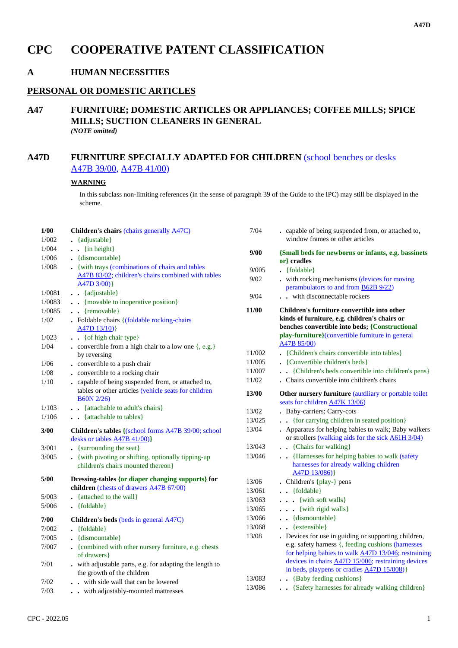# **CPC COOPERATIVE PATENT CLASSIFICATION**

## **A HUMAN NECESSITIES**

## **PERSONAL OR DOMESTIC ARTICLES**

**A47 FURNITURE; DOMESTIC ARTICLES OR APPLIANCES; COFFEE MILLS; SPICE MILLS; SUCTION CLEANERS IN GENERAL** *(NOTE omitted)*

## **A47D FURNITURE SPECIALLY ADAPTED FOR CHILDREN** (school benches or desks A47B 39/00, A47B 41/00)

## **WARNING**

In this subclass non-limiting references (in the sense of paragraph 39 of the Guide to the IPC) may still be displayed in the scheme.

| $1/00$         | Children's chairs (chairs generally <b>A47C</b> )                                      | 7/04   | . capable of being suspended from, or attached to,                                              |
|----------------|----------------------------------------------------------------------------------------|--------|-------------------------------------------------------------------------------------------------|
| 1/002          | $\bullet$ {adjustable}                                                                 |        | window frames or other articles                                                                 |
| 1/004          | $\bullet$ $\bullet$ {in height}                                                        | 9/00   | {Small beds for newborns or infants, e.g. bassinets                                             |
| 1/006          | $\bullet$ {dismountable}                                                               |        | $\{or\}$ cradles                                                                                |
| 1/008          | . {with trays (combinations of chairs and tables                                       | 9/005  | $\bullet$ {foldable}                                                                            |
|                | A47B 83/02; children's chairs combined with tables                                     | 9/02   | . with rocking mechanisms (devices for moving                                                   |
|                | $A47D 3/00$ }                                                                          |        | perambulators to and from <b>B62B 9/22</b> )                                                    |
| 1/0081         | . . {adjustable}                                                                       | 9/04   | . . with disconnectable rockers                                                                 |
| 1/0083         | . . {movable to inoperative position}                                                  |        |                                                                                                 |
| 1/0085         | $\bullet$ {removable}                                                                  | 11/00  | Children's furniture convertible into other                                                     |
| 1/02           | • Foldable chairs { (foldable rocking-chairs                                           |        | kinds of furniture, e.g. children's chairs or<br>benches convertible into beds; {Constructional |
|                | A47D13/10)                                                                             |        | play-furniture}(convertible furniture in general                                                |
| 1/023          | . . { of high chair type }                                                             |        | A47B 85/00)                                                                                     |
| 1/04           | • convertible from a high chair to a low one $\{, e.g.\}$                              | 11/002 | • {Children's chairs convertible into tables}                                                   |
|                | by reversing                                                                           | 11/005 | • {Convertible children's beds}                                                                 |
| 1/06           | • convertible to a push chair                                                          | 11/007 | . {Children's beds convertible into children's pens}                                            |
| $1/08$<br>1/10 | • convertible to a rocking chair<br>. capable of being suspended from, or attached to, | 11/02  | . Chairs convertible into children's chairs                                                     |
|                | tables or other articles (vehicle seats for children                                   |        |                                                                                                 |
|                | $B60N$ 2/26)                                                                           | 13/00  | Other nursery furniture (auxiliary or portable toilet                                           |
| 1/103          | . . {attachable to adult's chairs}                                                     |        | seats for children $\triangle$ 47K 13/06)                                                       |
| 1/106          | . . {attachable to tables}                                                             | 13/02  | . Baby-carriers; Carry-cots                                                                     |
|                |                                                                                        | 13/025 | . { for carrying children in seated position}                                                   |
| 3/00           | Children's tables {(school forms A47B 39/00; school                                    | 13/04  | • Apparatus for helping babies to walk; Baby walkers                                            |
|                | desks or tables $\triangle 47B$ 41/00)}                                                |        | or strollers (walking aids for the sick A61H 3/04)                                              |
| 3/001          | • {surrounding the seat}                                                               | 13/043 | . . {Chairs for walking}                                                                        |
| 3/005          | • {with pivoting or shifting, optionally tipping-up                                    | 13/046 | . . {Harnesses for helping babies to walk (safety<br>harnesses for already walking children     |
|                | children's chairs mounted thereon }                                                    |        | A47D13/086)                                                                                     |
| 5/00           | Dressing-tables {or diaper changing supports} for                                      | 13/06  | $\bullet$ Children's {play-} pens                                                               |
|                | children (chests of drawers A47B 67/00)                                                | 13/061 | $\bullet$ {foldable}                                                                            |
| 5/003          | • {attached to the wall}                                                               | 13/063 | $\ldots$ {with soft walls}                                                                      |
| 5/006          | $\bullet$ {foldable}                                                                   | 13/065 | $\ldots$ {with rigid walls}                                                                     |
| 7/00           |                                                                                        | 13/066 | . . {dismountable}                                                                              |
| 7/002          | Children's beds (beds in general A47C)<br>$\bullet$ {foldable}                         | 13/068 | $\bullet \bullet \{extensible\}$                                                                |
| 7/005          | . {dismountable}                                                                       | 13/08  | . Devices for use in guiding or supporting children,                                            |
| 7/007          | • {combined with other nursery furniture, e.g. chests                                  |        | e.g. safety harness {, feeding cushions (harnesses                                              |
|                | of drawers }                                                                           |        | for helping babies to walk A47D 13/046; restraining                                             |
| 7/01           | . with adjustable parts, e.g. for adapting the length to                               |        | devices in chairs <b>A47D 15/006</b> ; restraining devices                                      |
|                | the growth of the children                                                             |        | in beds, playpens or cradles A47D 15/008)}                                                      |
| 7/02           | . . with side wall that can be lowered                                                 | 13/083 | . . {Baby feeding cushions}                                                                     |
| 7/03           | . . with adjustably-mounted mattresses                                                 | 13/086 | . . {Safety harnesses for already walking children}                                             |
|                |                                                                                        |        |                                                                                                 |